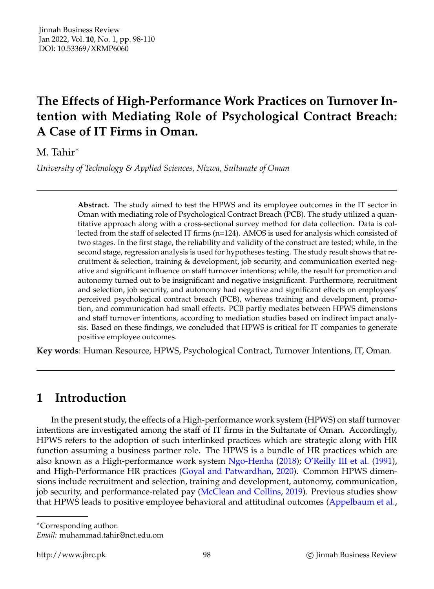# **The Effects of High-Performance Work Practices on Turnover Intention with Mediating Role of Psychological Contract Breach: A Case of IT Firms in Oman.**

M. Tahir<sup>∗</sup>

*University of Technology & Applied Sciences, Nizwa, Sultanate of Oman*

**Abstract.** The study aimed to test the HPWS and its employee outcomes in the IT sector in Oman with mediating role of Psychological Contract Breach (PCB). The study utilized a quantitative approach along with a cross-sectional survey method for data collection. Data is collected from the staff of selected IT firms (n=124). AMOS is used for analysis which consisted of two stages. In the first stage, the reliability and validity of the construct are tested; while, in the second stage, regression analysis is used for hypotheses testing. The study result shows that recruitment & selection, training & development, job security, and communication exerted negative and significant influence on staff turnover intentions; while, the result for promotion and autonomy turned out to be insignificant and negative insignificant. Furthermore, recruitment and selection, job security, and autonomy had negative and significant effects on employees' perceived psychological contract breach (PCB), whereas training and development, promotion, and communication had small effects. PCB partly mediates between HPWS dimensions and staff turnover intentions, according to mediation studies based on indirect impact analysis. Based on these findings, we concluded that HPWS is critical for IT companies to generate positive employee outcomes.

**Key words**: Human Resource, HPWS, Psychological Contract, Turnover Intentions, IT, Oman.

# **1 Introduction**

In the present study, the effects of a High-performance work system (HPWS) on staff turnover intentions are investigated among the staff of IT firms in the Sultanate of Oman. Accordingly, HPWS refers to the adoption of such interlinked practices which are strategic along with HR function assuming a business partner role. The HPWS is a bundle of HR practices which are also known as a High-performance work system [Ngo-Henha](#page-11-0) [\(2018\)](#page-11-0); [O'Reilly III et al.](#page-11-1) [\(1991\)](#page-11-1), and High-Performance HR practices [\(Goyal and Patwardhan,](#page-10-0) [2020\)](#page-10-0). Common HPWS dimensions include recruitment and selection, training and development, autonomy, communication, job security, and performance-related pay [\(McClean and Collins,](#page-11-2) [2019\)](#page-11-2). Previous studies show that HPWS leads to positive employee behavioral and attitudinal outcomes [\(Appelbaum et al.,](#page-10-1)

<sup>∗</sup>Corresponding author.

*Email:* muhammad.tahir@nct.edu.om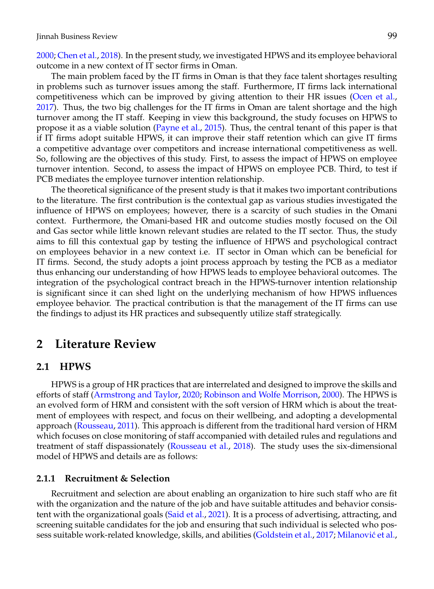[2000;](#page-10-1) [Chen et al.,](#page-10-2) [2018\)](#page-10-2). In the present study, we investigated HPWS and its employee behavioral outcome in a new context of IT sector firms in Oman.

The main problem faced by the IT firms in Oman is that they face talent shortages resulting in problems such as turnover issues among the staff. Furthermore, IT firms lack international competitiveness which can be improved by giving attention to their HR issues [\(Ocen et al.,](#page-11-3) [2017\)](#page-11-3). Thus, the two big challenges for the IT firms in Oman are talent shortage and the high turnover among the IT staff. Keeping in view this background, the study focuses on HPWS to propose it as a viable solution [\(Payne et al.,](#page-12-0) [2015\)](#page-12-0). Thus, the central tenant of this paper is that if IT firms adopt suitable HPWS, it can improve their staff retention which can give IT firms a competitive advantage over competitors and increase international competitiveness as well. So, following are the objectives of this study. First, to assess the impact of HPWS on employee turnover intention. Second, to assess the impact of HPWS on employee PCB. Third, to test if PCB mediates the employee turnover intention relationship.

The theoretical significance of the present study is that it makes two important contributions to the literature. The first contribution is the contextual gap as various studies investigated the influence of HPWS on employees; however, there is a scarcity of such studies in the Omani context. Furthermore, the Omani-based HR and outcome studies mostly focused on the Oil and Gas sector while little known relevant studies are related to the IT sector. Thus, the study aims to fill this contextual gap by testing the influence of HPWS and psychological contract on employees behavior in a new context i.e. IT sector in Oman which can be beneficial for IT firms. Second, the study adopts a joint process approach by testing the PCB as a mediator thus enhancing our understanding of how HPWS leads to employee behavioral outcomes. The integration of the psychological contract breach in the HPWS-turnover intention relationship is significant since it can shed light on the underlying mechanism of how HPWS influences employee behavior. The practical contribution is that the management of the IT firms can use the findings to adjust its HR practices and subsequently utilize staff strategically.

## **2 Literature Review**

#### **2.1 HPWS**

HPWS is a group of HR practices that are interrelated and designed to improve the skills and efforts of staff [\(Armstrong and Taylor,](#page-10-3) [2020;](#page-10-3) [Robinson and Wolfe Morrison,](#page-12-1) [2000\)](#page-12-1). The HPWS is an evolved form of HRM and consistent with the soft version of HRM which is about the treatment of employees with respect, and focus on their wellbeing, and adopting a developmental approach [\(Rousseau,](#page-12-2) [2011\)](#page-12-2). This approach is different from the traditional hard version of HRM which focuses on close monitoring of staff accompanied with detailed rules and regulations and treatment of staff dispassionately [\(Rousseau et al.,](#page-12-3) [2018\)](#page-12-3). The study uses the six-dimensional model of HPWS and details are as follows:

#### **2.1.1 Recruitment & Selection**

Recruitment and selection are about enabling an organization to hire such staff who are fit with the organization and the nature of the job and have suitable attitudes and behavior consis-tent with the organizational goals [\(Said et al.,](#page-12-4) [2021\)](#page-12-4). It is a process of advertising, attracting, and screening suitable candidates for the job and ensuring that such individual is selected who pos-sess suitable work-related knowledge, skills, and abilities [\(Goldstein et al.,](#page-10-4) [2017;](#page-10-4) Milanović et al.,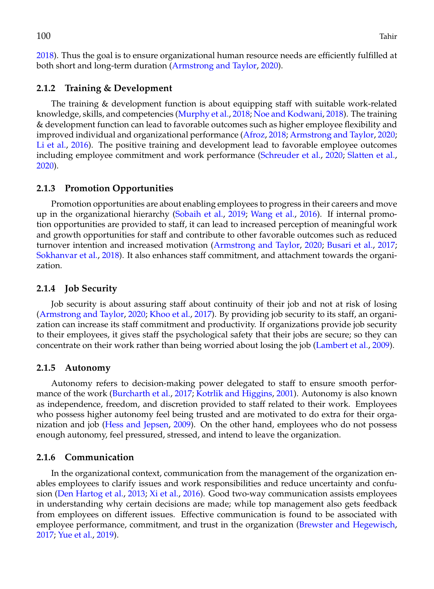[2018\)](#page-11-4). Thus the goal is to ensure organizational human resource needs are efficiently fulfilled at both short and long-term duration [\(Armstrong and Taylor,](#page-10-3) [2020\)](#page-10-3).

#### **2.1.2 Training & Development**

The training & development function is about equipping staff with suitable work-related knowledge, skills, and competencies [\(Murphy et al.,](#page-11-5) [2018;](#page-11-5) [Noe and Kodwani,](#page-11-6) [2018\)](#page-11-6). The training & development function can lead to favorable outcomes such as higher employee flexibility and improved individual and organizational performance [\(Afroz,](#page-10-5) [2018;](#page-10-5) [Armstrong and Taylor,](#page-10-3) [2020;](#page-10-3) [Li et al.,](#page-11-7) [2016\)](#page-11-7). The positive training and development lead to favorable employee outcomes including employee commitment and work performance [\(Schreuder et al.,](#page-12-5) [2020;](#page-12-5) [Slatten et al.,](#page-12-6) [2020\)](#page-12-6).

#### **2.1.3 Promotion Opportunities**

Promotion opportunities are about enabling employees to progress in their careers and move up in the organizational hierarchy [\(Sobaih et al.,](#page-12-7) [2019;](#page-12-7) [Wang et al.,](#page-12-8) [2016\)](#page-12-8). If internal promotion opportunities are provided to staff, it can lead to increased perception of meaningful work and growth opportunities for staff and contribute to other favorable outcomes such as reduced turnover intention and increased motivation [\(Armstrong and Taylor,](#page-10-3) [2020;](#page-10-3) [Busari et al.,](#page-10-6) [2017;](#page-10-6) [Sokhanvar et al.,](#page-12-9) [2018\)](#page-12-9). It also enhances staff commitment, and attachment towards the organization.

#### **2.1.4 Job Security**

Job security is about assuring staff about continuity of their job and not at risk of losing [\(Armstrong and Taylor,](#page-10-3) [2020;](#page-10-3) [Khoo et al.,](#page-11-8) [2017\)](#page-11-8). By providing job security to its staff, an organization can increase its staff commitment and productivity. If organizations provide job security to their employees, it gives staff the psychological safety that their jobs are secure; so they can concentrate on their work rather than being worried about losing the job [\(Lambert et al.,](#page-11-9) [2009\)](#page-11-9).

#### **2.1.5 Autonomy**

Autonomy refers to decision-making power delegated to staff to ensure smooth performance of the work [\(Burcharth et al.,](#page-10-7) [2017;](#page-10-7) [Kotrlik and Higgins,](#page-11-10) [2001\)](#page-11-10). Autonomy is also known as independence, freedom, and discretion provided to staff related to their work. Employees who possess higher autonomy feel being trusted and are motivated to do extra for their organization and job [\(Hess and Jepsen,](#page-11-11) [2009\)](#page-11-11). On the other hand, employees who do not possess enough autonomy, feel pressured, stressed, and intend to leave the organization.

#### **2.1.6 Communication**

In the organizational context, communication from the management of the organization enables employees to clarify issues and work responsibilities and reduce uncertainty and confusion [\(Den Hartog et al.,](#page-10-8) [2013;](#page-10-8) [Xi et al.,](#page-12-10) [2016\)](#page-12-10). Good two-way communication assists employees in understanding why certain decisions are made; while top management also gets feedback from employees on different issues. Effective communication is found to be associated with employee performance, commitment, and trust in the organization [\(Brewster and Hegewisch,](#page-10-9) [2017;](#page-10-9) [Yue et al.,](#page-12-11) [2019\)](#page-12-11).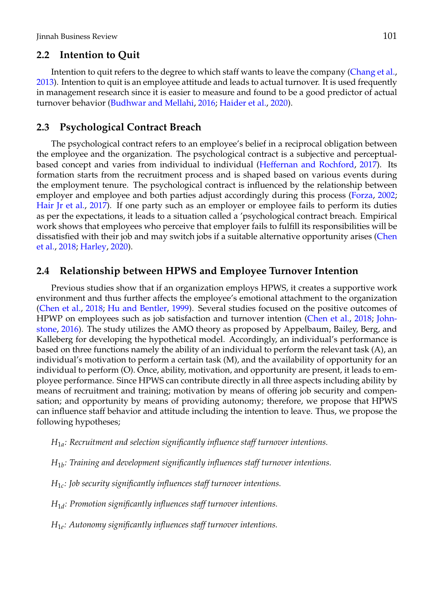### **2.2 Intention to Quit**

Intention to quit refers to the degree to which staff wants to leave the company [\(Chang et al.,](#page-10-10) [2013\)](#page-10-10). Intention to quit is an employee attitude and leads to actual turnover. It is used frequently in management research since it is easier to measure and found to be a good predictor of actual turnover behavior [\(Budhwar and Mellahi,](#page-10-11) [2016;](#page-10-11) [Haider et al.,](#page-11-12) [2020\)](#page-11-12).

#### **2.3 Psychological Contract Breach**

The psychological contract refers to an employee's belief in a reciprocal obligation between the employee and the organization. The psychological contract is a subjective and perceptualbased concept and varies from individual to individual [\(Heffernan and Rochford,](#page-11-13) [2017\)](#page-11-13). Its formation starts from the recruitment process and is shaped based on various events during the employment tenure. The psychological contract is influenced by the relationship between employer and employee and both parties adjust accordingly during this process [\(Forza,](#page-10-12) [2002;](#page-10-12) [Hair Jr et al.,](#page-11-14) [2017\)](#page-11-14). If one party such as an employer or employee fails to perform its duties as per the expectations, it leads to a situation called a 'psychological contract breach. Empirical work shows that employees who perceive that employer fails to fulfill its responsibilities will be dissatisfied with their job and may switch jobs if a suitable alternative opportunity arises [\(Chen](#page-10-2) [et al.,](#page-10-2) [2018;](#page-10-2) [Harley,](#page-11-15) [2020\)](#page-11-15).

#### **2.4 Relationship between HPWS and Employee Turnover Intention**

Previous studies show that if an organization employs HPWS, it creates a supportive work environment and thus further affects the employee's emotional attachment to the organization [\(Chen et al.,](#page-10-2) [2018;](#page-10-2) [Hu and Bentler,](#page-11-16) [1999\)](#page-11-16). Several studies focused on the positive outcomes of HPWP on employees such as job satisfaction and turnover intention [\(Chen et al.,](#page-10-2) [2018;](#page-10-2) [John](#page-11-17)[stone,](#page-11-17) [2016\)](#page-11-17). The study utilizes the AMO theory as proposed by Appelbaum, Bailey, Berg, and Kalleberg for developing the hypothetical model. Accordingly, an individual's performance is based on three functions namely the ability of an individual to perform the relevant task (A), an individual's motivation to perform a certain task (M), and the availability of opportunity for an individual to perform (O). Once, ability, motivation, and opportunity are present, it leads to employee performance. Since HPWS can contribute directly in all three aspects including ability by means of recruitment and training; motivation by means of offering job security and compensation; and opportunity by means of providing autonomy; therefore, we propose that HPWS can influence staff behavior and attitude including the intention to leave. Thus, we propose the following hypotheses;

- *H*1*<sup>a</sup> : Recruitment and selection significantly influence staff turnover intentions.*
- *H*1*<sup>b</sup> : Training and development significantly influences staff turnover intentions.*
- *H*1*<sup>c</sup> : Job security significantly influences staff turnover intentions.*
- *H*1*<sup>d</sup> : Promotion significantly influences staff turnover intentions.*
- *H*1*<sup>e</sup> : Autonomy significantly influences staff turnover intentions.*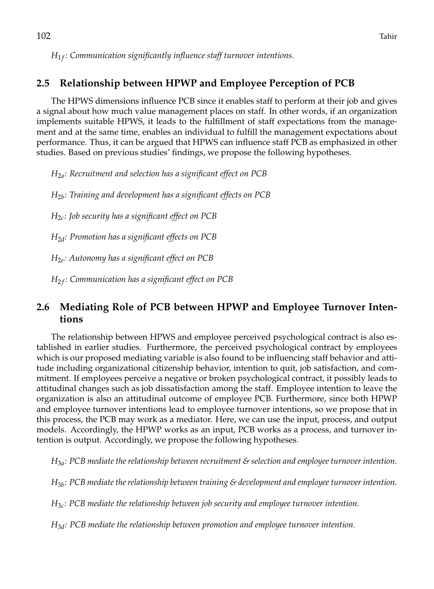$H_{1f}{:}$  Communication significantly influence staff turnover intentions.

## **2.5 Relationship between HPWP and Employee Perception of PCB**

The HPWS dimensions influence PCB since it enables staff to perform at their job and gives a signal about how much value management places on staff. In other words, if an organization implements suitable HPWS, it leads to the fulfillment of staff expectations from the management and at the same time, enables an individual to fulfill the management expectations about performance. Thus, it can be argued that HPWS can influence staff PCB as emphasized in other studies. Based on previous studies' findings, we propose the following hypotheses.

*H*2*<sup>a</sup> : Recruitment and selection has a significant effect on PCB*

*H*2*<sup>b</sup> : Training and development has a significant effects on PCB*

*H*2*<sup>c</sup> : Job security has a significant effect on PCB*

*H*2*<sup>d</sup> : Promotion has a significant effects on PCB*

*H*2*<sup>e</sup> : Autonomy has a significant effect on PCB*

*H*<sup>2</sup> *<sup>f</sup> : Communication has a significant effect on PCB*

## **2.6 Mediating Role of PCB between HPWP and Employee Turnover Intentions**

The relationship between HPWS and employee perceived psychological contract is also established in earlier studies. Furthermore, the perceived psychological contract by employees which is our proposed mediating variable is also found to be influencing staff behavior and attitude including organizational citizenship behavior, intention to quit, job satisfaction, and commitment. If employees perceive a negative or broken psychological contract, it possibly leads to attitudinal changes such as job dissatisfaction among the staff. Employee intention to leave the organization is also an attitudinal outcome of employee PCB. Furthermore, since both HPWP and employee turnover intentions lead to employee turnover intentions, so we propose that in this process, the PCB may work as a mediator. Here, we can use the input, process, and output models. Accordingly, the HPWP works as an input, PCB works as a process, and turnover intention is output. Accordingly, we propose the following hypotheses.

*H*3*<sup>a</sup> : PCB mediate the relationship between recruitment & selection and employee turnover intention.*

*H*3*<sup>b</sup> : PCB mediate the relationship between training & development and employee turnover intention.*

*H*3*<sup>c</sup> : PCB mediate the relationship between job security and employee turnover intention.*

*H*3*<sup>d</sup> : PCB mediate the relationship between promotion and employee turnover intention.*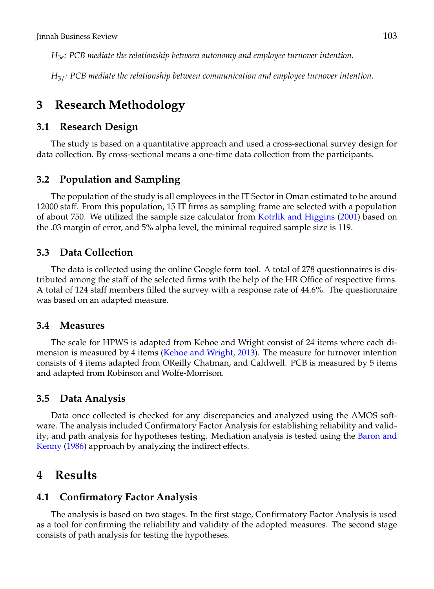*H*3*<sup>e</sup> : PCB mediate the relationship between autonomy and employee turnover intention.*

*H*<sup>3</sup> *<sup>f</sup> : PCB mediate the relationship between communication and employee turnover intention.*

## **3 Research Methodology**

#### **3.1 Research Design**

The study is based on a quantitative approach and used a cross-sectional survey design for data collection. By cross-sectional means a one-time data collection from the participants.

#### **3.2 Population and Sampling**

The population of the study is all employees in the IT Sector in Oman estimated to be around 12000 staff. From this population, 15 IT firms as sampling frame are selected with a population of about 750. We utilized the sample size calculator from [Kotrlik and Higgins](#page-11-10) [\(2001\)](#page-11-10) based on the .03 margin of error, and 5% alpha level, the minimal required sample size is 119.

#### **3.3 Data Collection**

The data is collected using the online Google form tool. A total of 278 questionnaires is distributed among the staff of the selected firms with the help of the HR Office of respective firms. A total of 124 staff members filled the survey with a response rate of 44.6%. The questionnaire was based on an adapted measure.

#### **3.4 Measures**

The scale for HPWS is adapted from Kehoe and Wright consist of 24 items where each dimension is measured by 4 items [\(Kehoe and Wright,](#page-11-18) [2013\)](#page-11-18). The measure for turnover intention consists of 4 items adapted from OReilly Chatman, and Caldwell. PCB is measured by 5 items and adapted from Robinson and Wolfe-Morrison.

#### **3.5 Data Analysis**

Data once collected is checked for any discrepancies and analyzed using the AMOS software. The analysis included Confirmatory Factor Analysis for establishing reliability and validity; and path analysis for hypotheses testing. Mediation analysis is tested using the [Baron and](#page-10-13) [Kenny](#page-10-13) [\(1986\)](#page-10-13) approach by analyzing the indirect effects.

### **4 Results**

#### **4.1 Confirmatory Factor Analysis**

The analysis is based on two stages. In the first stage, Confirmatory Factor Analysis is used as a tool for confirming the reliability and validity of the adopted measures. The second stage consists of path analysis for testing the hypotheses.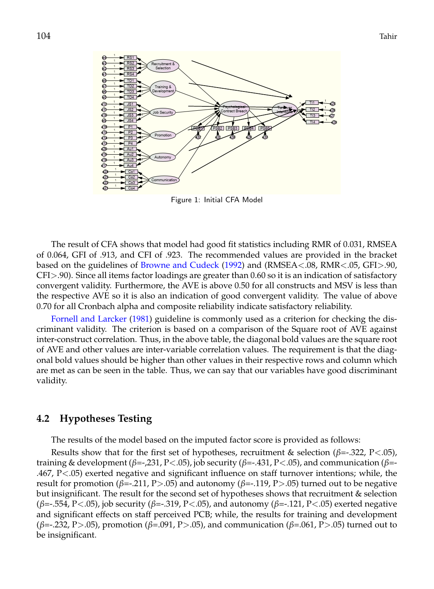

Figure 1: Initial CFA Model

The result of CFA shows that model had good fit statistics including RMR of 0.031, RMSEA of 0.064, GFI of .913, and CFI of .923. The recommended values are provided in the bracket based on the guidelines of [Browne and Cudeck](#page-10-14) [\(1992\)](#page-10-14) and (RMSEA<.08, RMR<.05, GFI>.90, CFI>.90). Since all items factor loadings are greater than 0.60 so it is an indication of satisfactory convergent validity. Furthermore, the AVE is above 0.50 for all constructs and MSV is less than the respective AVE so it is also an indication of good convergent validity. The value of above 0.70 for all Cronbach alpha and composite reliability indicate satisfactory reliability.

[Fornell and Larcker](#page-10-15) [\(1981\)](#page-10-15) guideline is commonly used as a criterion for checking the discriminant validity. The criterion is based on a comparison of the Square root of AVE against inter-construct correlation. Thus, in the above table, the diagonal bold values are the square root of AVE and other values are inter-variable correlation values. The requirement is that the diagonal bold values should be higher than other values in their respective rows and column which are met as can be seen in the table. Thus, we can say that our variables have good discriminant validity.

#### **4.2 Hypotheses Testing**

The results of the model based on the imputed factor score is provided as follows:

Results show that for the first set of hypotheses, recruitment & selection (*β*=-.322, P<.05), training & development (*β*=-,231, P<.05), job security (*β*=-.431, P<.05), and communication (*β*=- .467, P<.05) exerted negative and significant influence on staff turnover intentions; while, the result for promotion (*β*=-.211, P>.05) and autonomy (*β*=-.119, P>.05) turned out to be negative but insignificant. The result for the second set of hypotheses shows that recruitment & selection (*β*=-.554, P<.05), job security (*β*=-.319, P<.05), and autonomy (*β*=-.121, P<.05) exerted negative and significant effects on staff perceived PCB; while, the results for training and development (*β*=-.232, P>.05), promotion (*β*=.091, P>.05), and communication (*β*=.061, P>.05) turned out to be insignificant.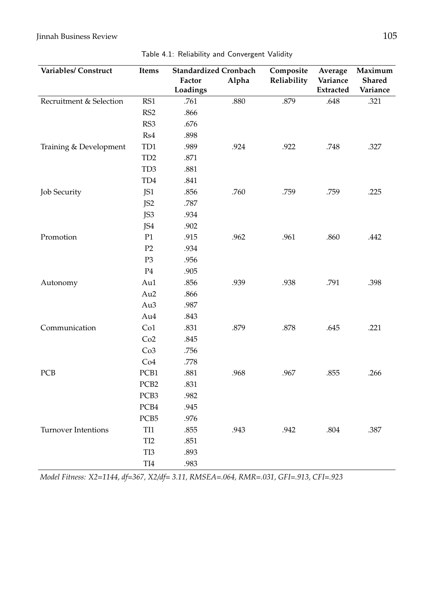### Jinnah Business Review 105

| Variables/ Construct       | <b>Standardized Cronbach</b><br>Items<br>Alpha<br>Factor<br>Loadings |      |      | Composite<br>Reliability | Average<br>Variance<br><b>Extracted</b> | Maximum<br>Shared<br>Variance |  |
|----------------------------|----------------------------------------------------------------------|------|------|--------------------------|-----------------------------------------|-------------------------------|--|
| Recruitment & Selection    | RS1                                                                  | .761 | .880 | .879                     | .648                                    | .321                          |  |
|                            | RS2                                                                  | .866 |      |                          |                                         |                               |  |
|                            | RS3                                                                  | .676 |      |                          |                                         |                               |  |
|                            | Rs4                                                                  | .898 |      |                          |                                         |                               |  |
| Training & Development     | TD1                                                                  | .989 | .924 | .922                     | .748                                    | .327                          |  |
|                            | TD <sub>2</sub>                                                      | .871 |      |                          |                                         |                               |  |
|                            | TD <sub>3</sub>                                                      | .881 |      |                          |                                         |                               |  |
|                            | TD4                                                                  | .841 |      |                          |                                         |                               |  |
| <b>Job Security</b>        | JS1                                                                  | .856 | .760 | .759                     | .759                                    | .225                          |  |
|                            | JS <sub>2</sub>                                                      | .787 |      |                          |                                         |                               |  |
|                            | JS3                                                                  | .934 |      |                          |                                         |                               |  |
|                            | JS4                                                                  | .902 |      |                          |                                         |                               |  |
| Promotion                  | P1                                                                   | .915 | .962 | .961                     | .860                                    | .442                          |  |
|                            | P2                                                                   | .934 |      |                          |                                         |                               |  |
|                            | P <sub>3</sub>                                                       | .956 |      |                          |                                         |                               |  |
|                            | $\mathbf{P}4$                                                        | .905 |      |                          |                                         |                               |  |
| Autonomy                   | Au1                                                                  | .856 | .939 | .938                     | .791                                    | .398                          |  |
|                            | Au2                                                                  | .866 |      |                          |                                         |                               |  |
|                            | Au3                                                                  | .987 |      |                          |                                         |                               |  |
|                            | Au4                                                                  | .843 |      |                          |                                         |                               |  |
| Communication              | Co1                                                                  | .831 | .879 | .878                     | .645                                    | .221                          |  |
|                            | Co2                                                                  | .845 |      |                          |                                         |                               |  |
|                            | Co3                                                                  | .756 |      |                          |                                         |                               |  |
|                            | Co4                                                                  | .778 |      |                          |                                         |                               |  |
| <b>PCB</b>                 | PCB1                                                                 | .881 | .968 | .967                     | .855                                    | .266                          |  |
|                            | PCB <sub>2</sub>                                                     | .831 |      |                          |                                         |                               |  |
|                            | PCB3                                                                 | .982 |      |                          |                                         |                               |  |
|                            | PCB4                                                                 | .945 |      |                          |                                         |                               |  |
|                            | PCB5                                                                 | .976 |      |                          |                                         |                               |  |
| <b>Turnover Intentions</b> | TI1                                                                  | .855 | .943 | .942                     | .804                                    | .387                          |  |
|                            | TI <sub>2</sub>                                                      | .851 |      |                          |                                         |                               |  |
|                            | TI3                                                                  | .893 |      |                          |                                         |                               |  |
|                            | TI4                                                                  | .983 |      |                          |                                         |                               |  |

*Model Fitness: X2=1144, df=367, X2/df= 3.11, RMSEA=.064, RMR=.031, GFI=.913, CFI=.923*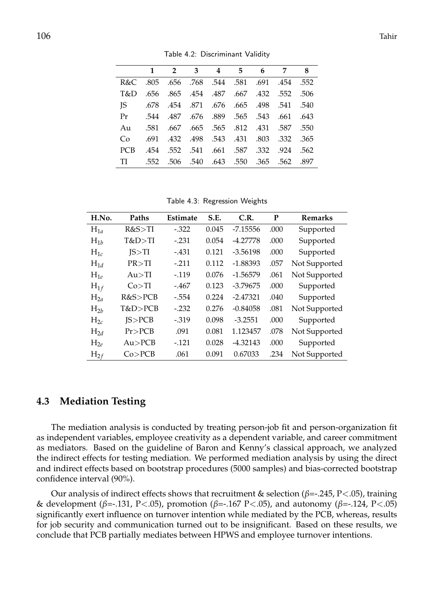|            | 1    | 2 3 4 5 6                                        |  | $\overline{7}$ | -8 |
|------------|------|--------------------------------------------------|--|----------------|----|
|            |      | 552. 454. 691. 581. 581. 584. 698. 805. 805. R&C |  |                |    |
| T&D        |      | .650 .552 .454 .487 .667 .432 .552 .656          |  |                |    |
| JS         |      | .678 .454 .871 .676 .665 .498 .541 .540          |  |                |    |
| Pr         |      | .543 .643 .643 .565 .543 .657 .543 .544          |  |                |    |
| Au         |      | .587 .550 .667 .565 .565 .812 .431 .587 .550     |  |                |    |
| Co         |      | .691 .432 .498 .543 .431 .803 .332 .365          |  |                |    |
| <b>PCB</b> |      | .454 .552 .541 .661 .587 .332 .924 .562          |  |                |    |
| TI         | .552 | .562 .562 .550 .550 .365 .562 .597               |  |                |    |

Table 4.2: Discriminant Validity

Table 4.3: Regression Weights

| H.No.       | Paths    | Estimate | S.E.  | C.R.       | P    | <b>Remarks</b> |
|-------------|----------|----------|-------|------------|------|----------------|
| $H_{1a}$    | R&S>TI   | $-.322$  | 0.045 | $-7.15556$ | .000 | Supported      |
| $H_{1b}$    | T&D>TI   | $-.231$  | 0.054 | $-4.27778$ | .000 | Supported      |
| $H_{1c}$    | IS > TI  | $-.431$  | 0.121 | $-3.56198$ | .000 | Supported      |
| $H_{1d}$    | PR > TI  | $-.211$  | 0.112 | $-1.88393$ | .057 | Not Supported  |
| $H_{1\rho}$ | Au > TI  | $-0.119$ | 0.076 | $-1.56579$ | .061 | Not Supported  |
| $H_{1f}$    | Co > TI  | $-.467$  | 0.123 | $-3.79675$ | .000 | Supported      |
| $H_{2a}$    | R&S>PCB  | $-.554$  | 0.224 | $-2.47321$ | .040 | Supported      |
| $H_{2h}$    | T&D>PCB  | $-.232$  | 0.276 | $-0.84058$ | .081 | Not Supported  |
| $H_{2c}$    | IS > PCB | $-.319$  | 0.098 | $-3.2551$  | .000 | Supported      |
| $H_{2d}$    | Pr > PCB | .091     | 0.081 | 1.123457   | .078 | Not Supported  |
| $H_{2e}$    | Au > PCB | $-.121$  | 0.028 | $-4.32143$ | .000 | Supported      |
| $H_{2f}$    | Co > PCB | .061     | 0.091 | 0.67033    | .234 | Not Supported  |

#### **4.3 Mediation Testing**

The mediation analysis is conducted by treating person-job fit and person-organization fit as independent variables, employee creativity as a dependent variable, and career commitment as mediators. Based on the guideline of Baron and Kenny's classical approach, we analyzed the indirect effects for testing mediation. We performed mediation analysis by using the direct and indirect effects based on bootstrap procedures (5000 samples) and bias-corrected bootstrap confidence interval (90%).

Our analysis of indirect effects shows that recruitment & selection (*β*=-.245, P<.05), training & development (*β*=-.131, P<.05), promotion (*β*=-.167 P<.05), and autonomy (*β*=-.124, P<.05) significantly exert influence on turnover intention while mediated by the PCB, whereas, results for job security and communication turned out to be insignificant. Based on these results, we conclude that PCB partially mediates between HPWS and employee turnover intentions.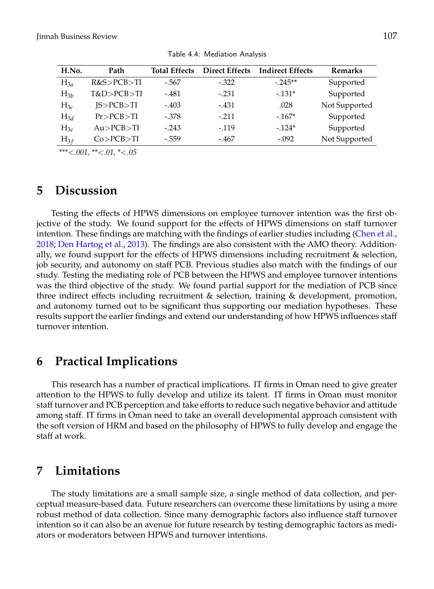| H.No.    | Path          | <b>Total Effects</b> | <b>Direct Effects</b> | <b>Indirect Effects</b> | <b>Remarks</b> |
|----------|---------------|----------------------|-----------------------|-------------------------|----------------|
| $H_{3a}$ | R&S>PCB>TI    | -.567                | $-.322$               | $-.245**$               | Supported      |
| $H_{3b}$ | T&D>PCB>TI    | $-.481$              | $-.231$               | $-131*$                 | Supported      |
| $H_{3c}$ | IS > PCB > TI | $-.403$              | $-.431$               | .028                    | Not Supported  |
| $H_{3d}$ | Pr > PCB > TI | $-.378$              | $-.211$               | $-167*$                 | Supported      |
| $H_{3e}$ | Au > PCB > TI | $-.243$              | $-119$                | $-124*$                 | Supported      |
| $H_{3f}$ | Co > PCB > TI | $-.559$              | -.467                 | $-.092$                 | Not Supported  |

Table 4.4: Mediation Analysis

*\*\*\**<*.001, \*\**<*.01, \**<*.05*

## **5 Discussion**

Testing the effects of HPWS dimensions on employee turnover intention was the first objective of the study. We found support for the effects of HPWS dimensions on staff turnover intention. These findings are matching with the findings of earlier studies including [\(Chen et al.,](#page-10-2) [2018;](#page-10-2) [Den Hartog et al.,](#page-10-8) [2013\)](#page-10-8). The findings are also consistent with the AMO theory. Additionally, we found support for the effects of HPWS dimensions including recruitment & selection, job security, and autonomy on staff PCB. Previous studies also match with the findings of our study. Testing the mediating role of PCB between the HPWS and employee turnover intentions was the third objective of the study. We found partial support for the mediation of PCB since three indirect effects including recruitment & selection, training & development, promotion, and autonomy turned out to be significant thus supporting our mediation hypotheses. These results support the earlier findings and extend our understanding of how HPWS influences staff turnover intention.

## **6 Practical Implications**

This research has a number of practical implications. IT firms in Oman need to give greater attention to the HPWS to fully develop and utilize its talent. IT firms in Oman must monitor staff turnover and PCB perception and take efforts to reduce such negative behavior and attitude among staff. IT firms in Oman need to take an overall developmental approach consistent with the soft version of HRM and based on the philosophy of HPWS to fully develop and engage the staff at work.

## **7 Limitations**

The study limitations are a small sample size, a single method of data collection, and perceptual measure-based data. Future researchers can overcome these limitations by using a more robust method of data collection. Since many demographic factors also influence staff turnover intention so it can also be an avenue for future research by testing demographic factors as mediators or moderators between HPWS and turnover intentions.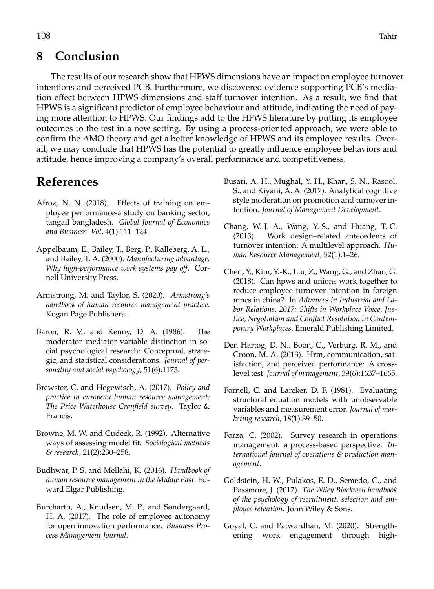# **8 Conclusion**

The results of our research show that HPWS dimensions have an impact on employee turnover intentions and perceived PCB. Furthermore, we discovered evidence supporting PCB's mediation effect between HPWS dimensions and staff turnover intention. As a result, we find that HPWS is a significant predictor of employee behaviour and attitude, indicating the need of paying more attention to HPWS. Our findings add to the HPWS literature by putting its employee outcomes to the test in a new setting. By using a process-oriented approach, we were able to confirm the AMO theory and get a better knowledge of HPWS and its employee results. Overall, we may conclude that HPWS has the potential to greatly influence employee behaviors and attitude, hence improving a company's overall performance and competitiveness.

# **References**

- <span id="page-10-5"></span>Afroz, N. N. (2018). Effects of training on employee performance-a study on banking sector, tangail bangladesh. *Global Journal of Economics and Business–Vol*, 4(1):111–124.
- <span id="page-10-1"></span>Appelbaum, E., Bailey, T., Berg, P., Kalleberg, A. L., and Bailey, T. A. (2000). *Manufacturing advantage: Why high-performance work systems pay off*. Cornell University Press.
- <span id="page-10-3"></span>Armstrong, M. and Taylor, S. (2020). *Armstrong's handbook of human resource management practice*. Kogan Page Publishers.
- <span id="page-10-13"></span>Baron, R. M. and Kenny, D. A. (1986). The moderator–mediator variable distinction in social psychological research: Conceptual, strategic, and statistical considerations. *Journal of personality and social psychology*, 51(6):1173.
- <span id="page-10-9"></span>Brewster, C. and Hegewisch, A. (2017). *Policy and practice in european human resource management: The Price Waterhouse Cranfield survey*. Taylor & Francis.
- <span id="page-10-14"></span>Browne, M. W. and Cudeck, R. (1992). Alternative ways of assessing model fit. *Sociological methods & research*, 21(2):230–258.
- <span id="page-10-11"></span>Budhwar, P. S. and Mellahi, K. (2016). *Handbook of human resource management in the Middle East*. Edward Elgar Publishing.
- <span id="page-10-7"></span>Burcharth, A., Knudsen, M. P., and Søndergaard, H. A. (2017). The role of employee autonomy for open innovation performance. *Business Process Management Journal*.
- <span id="page-10-6"></span>Busari, A. H., Mughal, Y. H., Khan, S. N., Rasool, S., and Kiyani, A. A. (2017). Analytical cognitive style moderation on promotion and turnover intention. *Journal of Management Development*.
- <span id="page-10-10"></span>Chang, W.-J. A., Wang, Y.-S., and Huang, T.-C. (2013). Work design–related antecedents of turnover intention: A multilevel approach. *Human Resource Management*, 52(1):1–26.
- <span id="page-10-2"></span>Chen, Y., Kim, Y.-K., Liu, Z., Wang, G., and Zhao, G. (2018). Can hpws and unions work together to reduce employee turnover intention in foreign mncs in china? In *Advances in Industrial and Labor Relations, 2017: Shifts in Workplace Voice, Justice, Negotiation and Conflict Resolution in Contemporary Workplaces*. Emerald Publishing Limited.
- <span id="page-10-8"></span>Den Hartog, D. N., Boon, C., Verburg, R. M., and Croon, M. A. (2013). Hrm, communication, satisfaction, and perceived performance: A crosslevel test. *Journal of management*, 39(6):1637–1665.
- <span id="page-10-15"></span>Fornell, C. and Larcker, D. F. (1981). Evaluating structural equation models with unobservable variables and measurement error. *Journal of marketing research*, 18(1):39–50.
- <span id="page-10-12"></span>Forza, C. (2002). Survey research in operations management: a process-based perspective. *International journal of operations & production management*.
- <span id="page-10-4"></span>Goldstein, H. W., Pulakos, E. D., Semedo, C., and Passmore, J. (2017). *The Wiley Blackwell handbook of the psychology of recruitment, selection and employee retention*. John Wiley & Sons.
- <span id="page-10-0"></span>Goyal, C. and Patwardhan, M. (2020). Strengthening work engagement through high-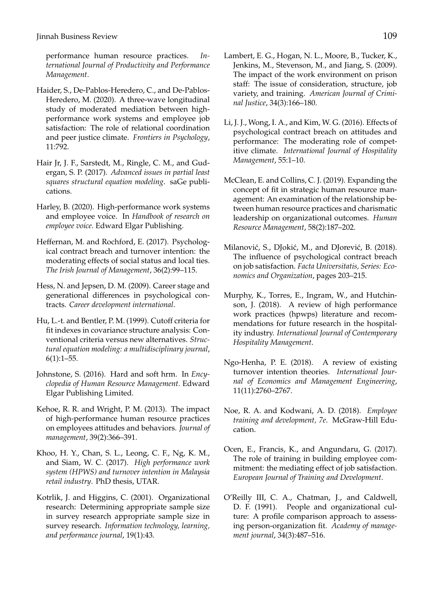performance human resource practices. *International Journal of Productivity and Performance Management*.

- <span id="page-11-12"></span>Haider, S., De-Pablos-Heredero, C., and De-Pablos-Heredero, M. (2020). A three-wave longitudinal study of moderated mediation between highperformance work systems and employee job satisfaction: The role of relational coordination and peer justice climate. *Frontiers in Psychology*, 11:792.
- <span id="page-11-14"></span>Hair Jr, J. F., Sarstedt, M., Ringle, C. M., and Gudergan, S. P. (2017). *Advanced issues in partial least squares structural equation modeling*. saGe publications.
- <span id="page-11-15"></span>Harley, B. (2020). High-performance work systems and employee voice. In *Handbook of research on employee voice*. Edward Elgar Publishing.
- <span id="page-11-13"></span>Heffernan, M. and Rochford, E. (2017). Psychological contract breach and turnover intention: the moderating effects of social status and local ties. *The Irish Journal of Management*, 36(2):99–115.
- <span id="page-11-11"></span>Hess, N. and Jepsen, D. M. (2009). Career stage and generational differences in psychological contracts. *Career development international*.
- <span id="page-11-16"></span>Hu, L.-t. and Bentler, P. M. (1999). Cutoff criteria for fit indexes in covariance structure analysis: Conventional criteria versus new alternatives. *Structural equation modeling: a multidisciplinary journal*,  $6(1):1-55.$
- <span id="page-11-17"></span>Johnstone, S. (2016). Hard and soft hrm. In *Encyclopedia of Human Resource Management*. Edward Elgar Publishing Limited.
- <span id="page-11-18"></span>Kehoe, R. R. and Wright, P. M. (2013). The impact of high-performance human resource practices on employees attitudes and behaviors. *Journal of management*, 39(2):366–391.
- <span id="page-11-8"></span>Khoo, H. Y., Chan, S. L., Leong, C. F., Ng, K. M., and Siam, W. C. (2017). *High performance work system (HPWS) and turnover intention in Malaysia retail industry*. PhD thesis, UTAR.
- <span id="page-11-10"></span>Kotrlik, J. and Higgins, C. (2001). Organizational research: Determining appropriate sample size in survey research appropriate sample size in survey research. *Information technology, learning, and performance journal*, 19(1):43.
- <span id="page-11-9"></span>Lambert, E. G., Hogan, N. L., Moore, B., Tucker, K., Jenkins, M., Stevenson, M., and Jiang, S. (2009). The impact of the work environment on prison staff: The issue of consideration, structure, job variety, and training. *American Journal of Criminal Justice*, 34(3):166–180.
- <span id="page-11-7"></span>Li, J. J., Wong, I. A., and Kim, W. G. (2016). Effects of psychological contract breach on attitudes and performance: The moderating role of competitive climate. *International Journal of Hospitality Management*, 55:1–10.
- <span id="page-11-2"></span>McClean, E. and Collins, C. J. (2019). Expanding the concept of fit in strategic human resource management: An examination of the relationship between human resource practices and charismatic leadership on organizational outcomes. *Human Resource Management*, 58(2):187–202.
- <span id="page-11-4"></span>Milanović, S., DJokić, M., and DJorević, B. (2018). The influence of psychological contract breach on job satisfaction. *Facta Universitatis, Series: Economics and Organization*, pages 203–215.
- <span id="page-11-5"></span>Murphy, K., Torres, E., Ingram, W., and Hutchinson, J. (2018). A review of high performance work practices (hpwps) literature and recommendations for future research in the hospitality industry. *International Journal of Contemporary Hospitality Management*.
- <span id="page-11-0"></span>Ngo-Henha, P. E. (2018). A review of existing turnover intention theories. *International Journal of Economics and Management Engineering*, 11(11):2760–2767.
- <span id="page-11-6"></span>Noe, R. A. and Kodwani, A. D. (2018). *Employee training and development, 7e*. McGraw-Hill Education.
- <span id="page-11-3"></span>Ocen, E., Francis, K., and Angundaru, G. (2017). The role of training in building employee commitment: the mediating effect of job satisfaction. *European Journal of Training and Development*.
- <span id="page-11-1"></span>O'Reilly III, C. A., Chatman, J., and Caldwell, D. F. (1991). People and organizational culture: A profile comparison approach to assessing person-organization fit. *Academy of management journal*, 34(3):487–516.